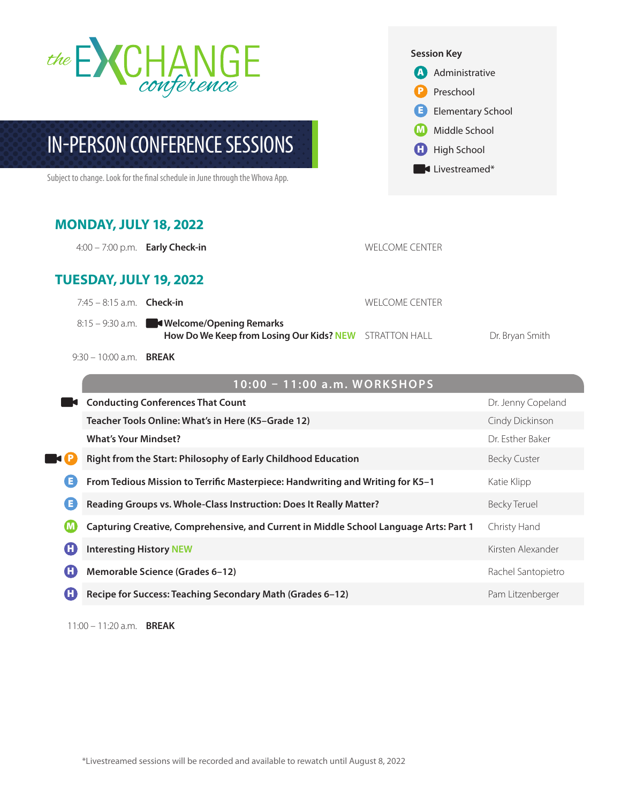

# IN-PERSON CONFERENCE SESSIONS

Subject to change. Look for the final schedule in June through the Whova App.

#### **MONDAY, JULY 18, 2022**

**TUESDAY, JULY 19, 2022** 7:45 – 8:15 a.m. **Check-in** WELCOME CENTER 8:15 – 9:30 a.m. **Welcome/Opening Remarks**  4:00 – 7:00 p.m. **Early Check-in** WELCOME CENTER

| $\sim$ and $\sim$ weighting operating nemative         |                 |
|--------------------------------------------------------|-----------------|
| How Do We Keep from Losing Our Kids? NEW STRATTON HALL | Dr. Bryan Smith |

9:30 – 10:00 a.m. **BREAK**

**10:00 – 11:00 a.m. WORKSHOPS**

|   | <b>Conducting Conferences That Count</b>                                              | Dr. Jenny Copeland  |
|---|---------------------------------------------------------------------------------------|---------------------|
|   | Teacher Tools Online: What's in Here (K5-Grade 12)                                    | Cindy Dickinson     |
|   | <b>What's Your Mindset?</b>                                                           | Dr. Esther Baker    |
|   | Right from the Start: Philosophy of Early Childhood Education                         | <b>Becky Custer</b> |
| E | From Tedious Mission to Terrific Masterpiece: Handwriting and Writing for K5-1        | Katie Klipp         |
| Е | Reading Groups vs. Whole-Class Instruction: Does It Really Matter?                    | Becky Teruel        |
|   | Capturing Creative, Comprehensive, and Current in Middle School Language Arts: Part 1 | Christy Hand        |
| Œ | <b>Interesting History NEW</b>                                                        | Kirsten Alexander   |
| Œ | Memorable Science (Grades 6-12)                                                       | Rachel Santopietro  |
| Œ | Recipe for Success: Teaching Secondary Math (Grades 6-12)                             | Pam Litzenberger    |

<sup>11:00 – 11:20</sup> a.m. **BREAK**

**Session Key** A Administrative P Preschool **E** Elementary School **M** Middle School High School

**Livestreamed\*** 

\*Livestreamed sessions will be recorded and available to rewatch until August 8, 2022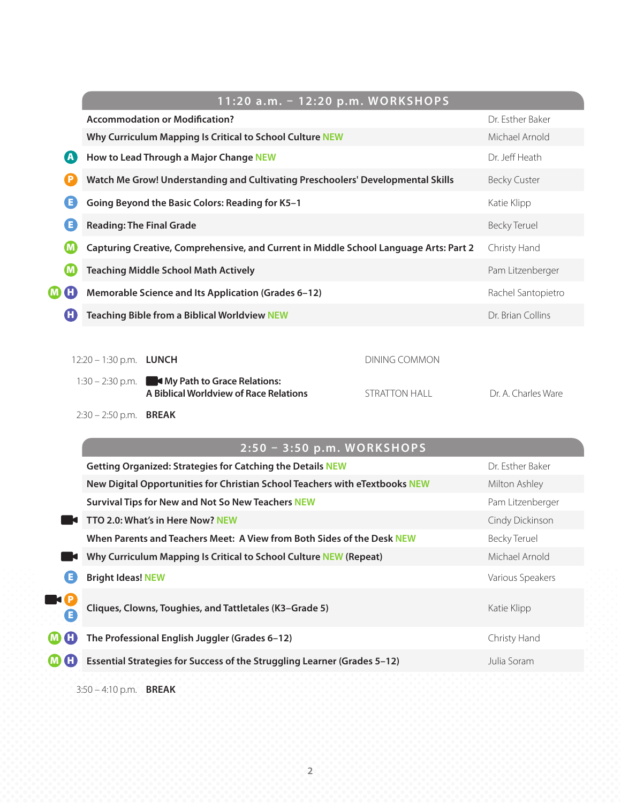|                         |                                                                                                     | 11:20 a.m. - 12:20 p.m. WORKSHOPS |                     |
|-------------------------|-----------------------------------------------------------------------------------------------------|-----------------------------------|---------------------|
|                         | <b>Accommodation or Modification?</b>                                                               |                                   | Dr. Esther Baker    |
|                         | Why Curriculum Mapping Is Critical to School Culture NEW                                            |                                   | Michael Arnold      |
| A                       | How to Lead Through a Major Change NEW                                                              |                                   | Dr. Jeff Heath      |
|                         | Watch Me Grow! Understanding and Cultivating Preschoolers' Developmental Skills                     |                                   | <b>Becky Custer</b> |
| Е                       | Going Beyond the Basic Colors: Reading for K5-1                                                     |                                   | Katie Klipp         |
| E                       | <b>Reading: The Final Grade</b>                                                                     |                                   | <b>Becky Teruel</b> |
|                         | Capturing Creative, Comprehensive, and Current in Middle School Language Arts: Part 2               |                                   | Christy Hand        |
| $\overline{\mathbf{M}}$ | <b>Teaching Middle School Math Actively</b>                                                         |                                   | Pam Litzenberger    |
| O                       | Memorable Science and Its Application (Grades 6-12)                                                 |                                   | Rachel Santopietro  |
| GH.                     | <b>Teaching Bible from a Biblical Worldview NEW</b>                                                 |                                   | Dr. Brian Collins   |
|                         |                                                                                                     |                                   |                     |
|                         | 12:20 – 1:30 p.m. <b>LUNCH</b>                                                                      | DINING COMMON                     |                     |
|                         | 1:30 – 2:30 p.m. <b>No. 1 My Path to Grace Relations:</b><br>A Biblical Worldview of Race Relations | STRATTON HALL                     | Dr. A. Charles Ware |

2:30 – 2:50 p.m. **BREAK** 

|          | $2:50 - 3:50$ p.m. WORKSHOPS                                                |                  |
|----------|-----------------------------------------------------------------------------|------------------|
|          | <b>Getting Organized: Strategies for Catching the Details NEW</b>           | Dr. Esther Baker |
|          | New Digital Opportunities for Christian School Teachers with eTextbooks NEW | Milton Ashley    |
|          | <b>Survival Tips for New and Not So New Teachers NEW</b>                    | Pam Litzenberger |
|          | TTO 2.0: What's in Here Now? NEW                                            | Cindy Dickinson  |
|          | When Parents and Teachers Meet: A View from Both Sides of the Desk NEW      | Becky Teruel     |
|          | Why Curriculum Mapping Is Critical to School Culture NEW (Repeat)           | Michael Arnold   |
|          | <b>Bright Ideas! NEW</b>                                                    | Various Speakers |
| Е.       | Cliques, Clowns, Toughies, and Tattletales (K3-Grade 5)                     | Katie Klipp      |
| Œ<br>(M) | The Professional English Juggler (Grades 6-12)                              | Christy Hand     |
| Œ        | Essential Strategies for Success of the Struggling Learner (Grades 5-12)    | Julia Soram      |

3:50 – 4:10 p.m. **BREAK**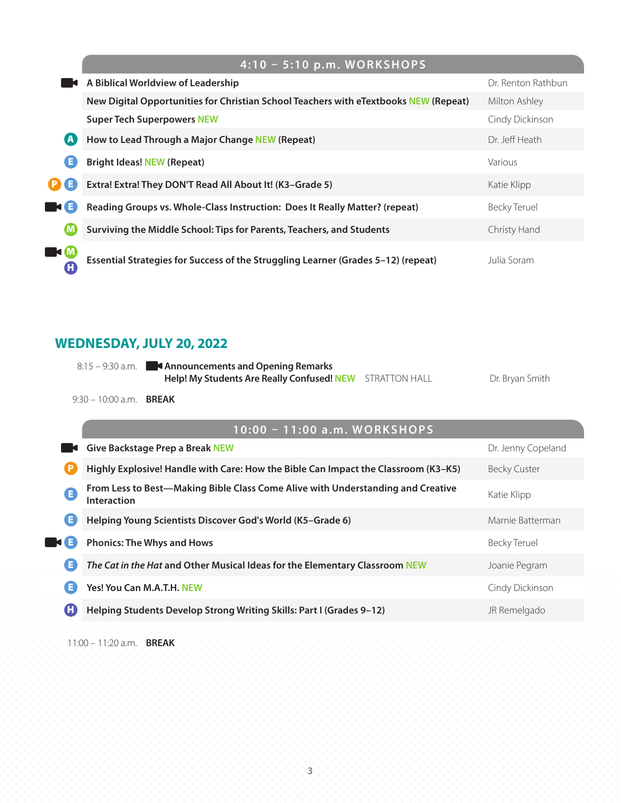|                     | $4:10 - 5:10$ p.m. WORKSHOPS                                                         |                     |
|---------------------|--------------------------------------------------------------------------------------|---------------------|
|                     | A Biblical Worldview of Leadership                                                   | Dr. Renton Rathbun  |
|                     | New Digital Opportunities for Christian School Teachers with eTextbooks NEW (Repeat) | Milton Ashley       |
|                     | <b>Super Tech Superpowers NEW</b>                                                    | Cindy Dickinson     |
| ( A                 | How to Lead Through a Major Change NEW (Repeat)                                      | Dr. Jeff Heath      |
|                     | <b>Bright Ideas! NEW (Repeat)</b>                                                    | Various             |
| E<br>P)             | Extra! Extra! They DON'T Read All About It! (K3-Grade 5)                             | Katie Klipp         |
| I JE                | Reading Groups vs. Whole-Class Instruction: Does It Really Matter? (repeat)          | <b>Becky Teruel</b> |
| M                   | Surviving the Middle School: Tips for Parents, Teachers, and Students                | Christy Hand        |
| $\blacksquare$<br>Œ | Essential Strategies for Success of the Struggling Learner (Grades 5-12) (repeat)    | Julia Soram         |

## **WEDNESDAY, JULY 20, 2022**

| $8:15 - 9:30$ a.m. | Announcements and Opening Remarks                        |                 |
|--------------------|----------------------------------------------------------|-----------------|
|                    | Help! My Students Are Really Confused! NEW STRATTON HALL | Dr. Bryan Smith |
|                    |                                                          |                 |

9:30 – 10:00 a.m. **BREAK**

|   | 10:00 - 11:00 a.m. WORKSHOPS                                                                   |                     |
|---|------------------------------------------------------------------------------------------------|---------------------|
|   | <b>Give Backstage Prep a Break NEW</b>                                                         | Dr. Jenny Copeland  |
|   | Highly Explosive! Handle with Care: How the Bible Can Impact the Classroom (K3-K5)             | <b>Becky Custer</b> |
| Œ | From Less to Best—Making Bible Class Come Alive with Understanding and Creative<br>Interaction | Katie Klipp         |
| E | Helping Young Scientists Discover God's World (K5-Grade 6)                                     | Marnie Batterman    |
|   | <b>Phonics: The Whys and Hows</b>                                                              | Becky Teruel        |
| E | The Cat in the Hat and Other Musical Ideas for the Elementary Classroom NEW                    | Joanie Pegram       |
|   | Yes! You Can M.A.T.H. NEW                                                                      | Cindy Dickinson     |
| Œ | Helping Students Develop Strong Writing Skills: Part I (Grades 9-12)                           | JR Remelgado        |
|   |                                                                                                |                     |

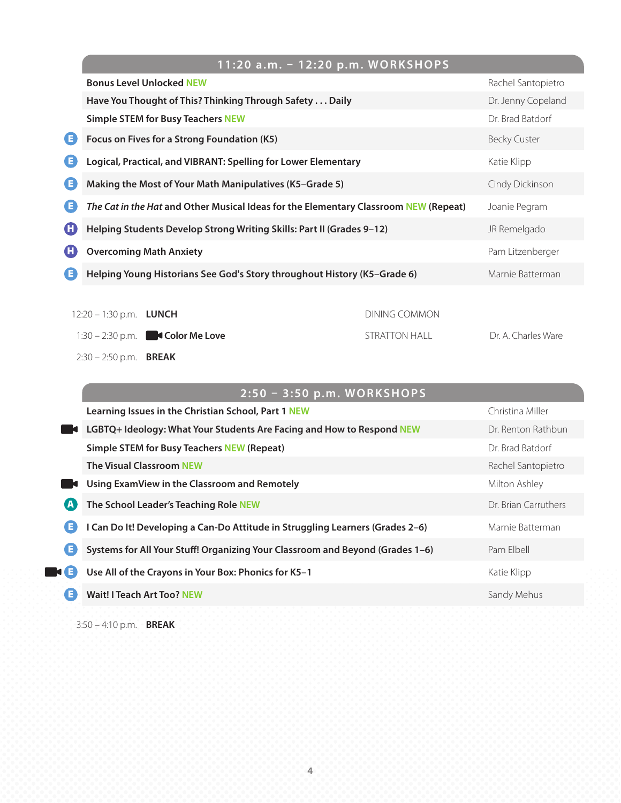## **11:20 a.m. – 12:20 p.m. WORKSHOPS**

|   | <b>Bonus Level Unlocked NEW</b>                                                      |                      | Rachel Santopietro  |
|---|--------------------------------------------------------------------------------------|----------------------|---------------------|
|   | Have You Thought of This? Thinking Through Safety Daily                              |                      | Dr. Jenny Copeland  |
|   | <b>Simple STEM for Busy Teachers NEW</b>                                             |                      | Dr. Brad Batdorf    |
| G | Focus on Fives for a Strong Foundation (K5)                                          |                      | <b>Becky Custer</b> |
| G | Logical, Practical, and VIBRANT: Spelling for Lower Elementary                       |                      | Katie Klipp         |
| G | Making the Most of Your Math Manipulatives (K5-Grade 5)                              |                      | Cindy Dickinson     |
| O | The Cat in the Hat and Other Musical Ideas for the Elementary Classroom NEW (Repeat) |                      | Joanie Pegram       |
| Œ | Helping Students Develop Strong Writing Skills: Part II (Grades 9-12)                |                      | JR Remelgado        |
| Œ | <b>Overcoming Math Anxiety</b>                                                       |                      | Pam Litzenberger    |
| G | Helping Young Historians See God's Story throughout History (K5-Grade 6)             |                      | Marnie Batterman    |
|   |                                                                                      |                      |                     |
|   | $12:20 - 1:30$ p.m.<br><b>LUNCH</b>                                                  | <b>DINING COMMON</b> |                     |
|   | <b>Color Me Love</b><br>1:30 – 2:30 p.m. $\blacksquare$                              | <b>STRATTON HALL</b> | Dr. A. Charles Ware |

2:30 – 2:50 p.m. **BREAK**

## **2:50 – 3:50 p.m. WORKSHOPS**

|             | Learning Issues in the Christian School, Part 1 NEW                           | Christina Miller     |
|-------------|-------------------------------------------------------------------------------|----------------------|
|             | LGBTQ+ Ideology: What Your Students Are Facing and How to Respond NEW         | Dr. Renton Rathbun   |
|             | <b>Simple STEM for Busy Teachers NEW (Repeat)</b>                             | Dr. Brad Batdorf     |
|             | <b>The Visual Classroom NEW</b>                                               | Rachel Santopietro   |
|             | Using ExamView in the Classroom and Remotely                                  | Milton Ashley        |
| A           | The School Leader's Teaching Role NEW                                         | Dr. Brian Carruthers |
| Е           | I Can Do It! Developing a Can-Do Attitude in Struggling Learners (Grades 2-6) | Marnie Batterman     |
| E.          | Systems for All Your Stuff! Organizing Your Classroom and Beyond (Grades 1–6) | Pam Elbell           |
| <b>MAGE</b> | Use All of the Crayons in Your Box: Phonics for K5-1                          | Katie Klipp          |
| E           | <b>Wait! I Teach Art Too? NEW</b>                                             | Sandy Mehus          |

3:50 – 4:10 p.m. **BREAK**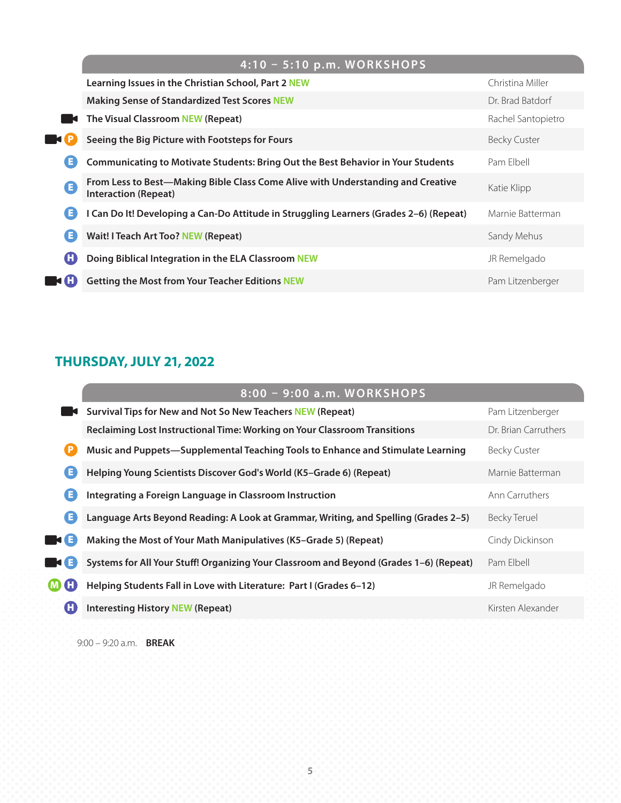|     | 4:10 - 5:10 p.m. WORKSHOPS                                                                                     |                     |
|-----|----------------------------------------------------------------------------------------------------------------|---------------------|
|     | Learning Issues in the Christian School, Part 2 NEW                                                            | Christina Miller    |
|     | <b>Making Sense of Standardized Test Scores NEW</b>                                                            | Dr. Brad Batdorf    |
|     | The Visual Classroom NEW (Repeat)                                                                              | Rachel Santopietro  |
|     | Seeing the Big Picture with Footsteps for Fours                                                                | <b>Becky Custer</b> |
|     | <b>Communicating to Motivate Students: Bring Out the Best Behavior in Your Students</b>                        | Pam Elbell          |
| G   | From Less to Best—Making Bible Class Come Alive with Understanding and Creative<br><b>Interaction (Repeat)</b> | Katie Klipp         |
|     | I Can Do It! Developing a Can-Do Attitude in Struggling Learners (Grades 2-6) (Repeat)                         | Marnie Batterman    |
| E   | Wait! I Teach Art Too? NEW (Repeat)                                                                            | Sandy Mehus         |
| Œ   | Doing Biblical Integration in the ELA Classroom NEW                                                            | JR Remelgado        |
| T H | <b>Getting the Most from Your Teacher Editions NEW</b>                                                         | Pam Litzenberger    |

#### **THURSDAY, JULY 21, 2022**

|            | 8:00 - 9:00 a.m. WORKSHOPS                                                             |                      |
|------------|----------------------------------------------------------------------------------------|----------------------|
|            | Survival Tips for New and Not So New Teachers NEW (Repeat)                             | Pam Litzenberger     |
|            | <b>Reclaiming Lost Instructional Time: Working on Your Classroom Transitions</b>       | Dr. Brian Carruthers |
|            | Music and Puppets—Supplemental Teaching Tools to Enhance and Stimulate Learning        | Becky Custer         |
| E          | Helping Young Scientists Discover God's World (K5-Grade 6) (Repeat)                    | Marnie Batterman     |
| E          | Integrating a Foreign Language in Classroom Instruction                                | Ann Carruthers       |
| B          | Language Arts Beyond Reading: A Look at Grammar, Writing, and Spelling (Grades 2-5)    | Becky Teruel         |
| <b>EKE</b> | Making the Most of Your Math Manipulatives (K5-Grade 5) (Repeat)                       | Cindy Dickinson      |
| <b>ME</b>  | Systems for All Your Stuff! Organizing Your Classroom and Beyond (Grades 1-6) (Repeat) | Pam Elbell           |
| <b>MIH</b> | Helping Students Fall in Love with Literature: Part I (Grades 6-12)                    | JR Remelgado         |
| Œ          | <b>Interesting History NEW (Repeat)</b>                                                | Kirsten Alexander    |

9:00 – 9:20 a.m. **BREAK**